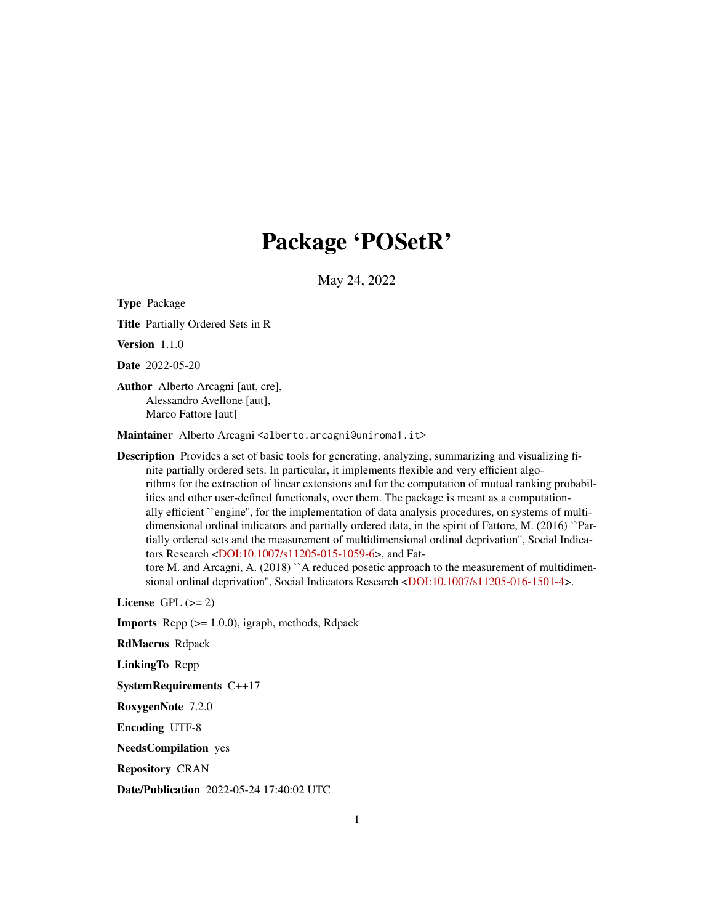# Package 'POSetR'

May 24, 2022

<span id="page-0-0"></span>Type Package

Title Partially Ordered Sets in R

Version 1.1.0

Date 2022-05-20

Author Alberto Arcagni [aut, cre], Alessandro Avellone [aut], Marco Fattore [aut]

Maintainer Alberto Arcagni <alberto.arcagni@uniroma1.it>

Description Provides a set of basic tools for generating, analyzing, summarizing and visualizing finite partially ordered sets. In particular, it implements flexible and very efficient algorithms for the extraction of linear extensions and for the computation of mutual ranking probabilities and other user-defined functionals, over them. The package is meant as a computationally efficient ``engine'', for the implementation of data analysis procedures, on systems of multidimensional ordinal indicators and partially ordered data, in the spirit of Fattore, M. (2016) ``Partially ordered sets and the measurement of multidimensional ordinal deprivation'', Social Indicators Research [<DOI:10.1007/s11205-015-1059-6>](https://doi.org/10.1007/s11205-015-1059-6), and Fat-

tore M. and Arcagni, A. (2018) ``A reduced posetic approach to the measurement of multidimensional ordinal deprivation'', Social Indicators Research [<DOI:10.1007/s11205-016-1501-4>](https://doi.org/10.1007/s11205-016-1501-4).

License GPL  $(>= 2)$ 

**Imports** Rcpp  $(>= 1.0.0)$ , igraph, methods, Rdpack

RdMacros Rdpack

LinkingTo Rcpp

SystemRequirements C++17

RoxygenNote 7.2.0

Encoding UTF-8

NeedsCompilation yes

Repository CRAN

Date/Publication 2022-05-24 17:40:02 UTC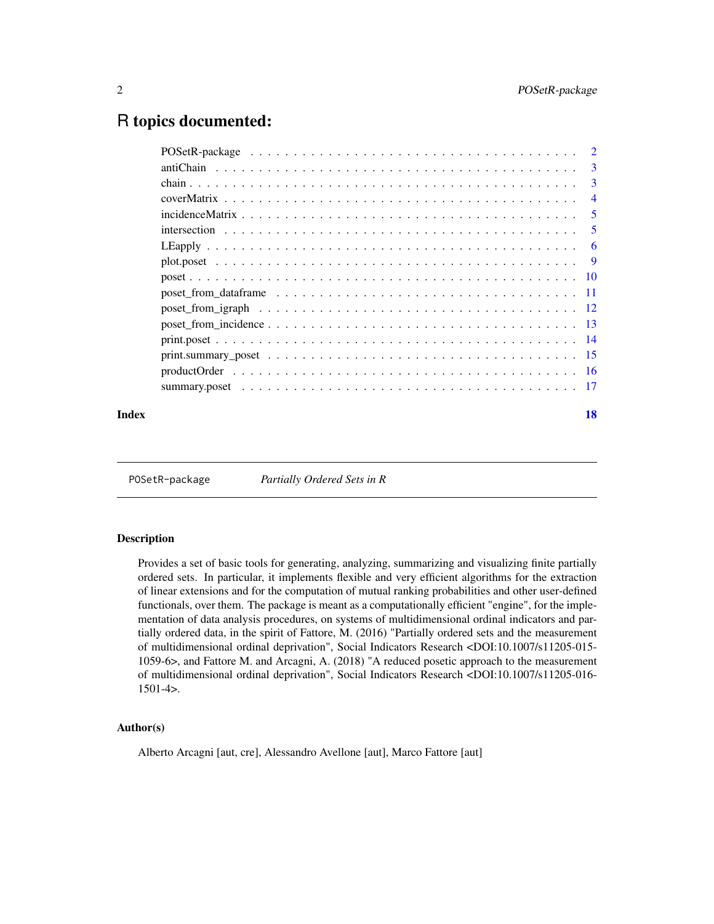# <span id="page-1-0"></span>R topics documented:

| Index | 18 |
|-------|----|

POSetR-package *Partially Ordered Sets in R*

# **Description**

Provides a set of basic tools for generating, analyzing, summarizing and visualizing finite partially ordered sets. In particular, it implements flexible and very efficient algorithms for the extraction of linear extensions and for the computation of mutual ranking probabilities and other user-defined functionals, over them. The package is meant as a computationally efficient "engine", for the implementation of data analysis procedures, on systems of multidimensional ordinal indicators and partially ordered data, in the spirit of Fattore, M. (2016) "Partially ordered sets and the measurement of multidimensional ordinal deprivation", Social Indicators Research <DOI:10.1007/s11205-015- 1059-6>, and Fattore M. and Arcagni, A. (2018) "A reduced posetic approach to the measurement of multidimensional ordinal deprivation", Social Indicators Research <DOI:10.1007/s11205-016- 1501-4>.

#### Author(s)

Alberto Arcagni [aut, cre], Alessandro Avellone [aut], Marco Fattore [aut]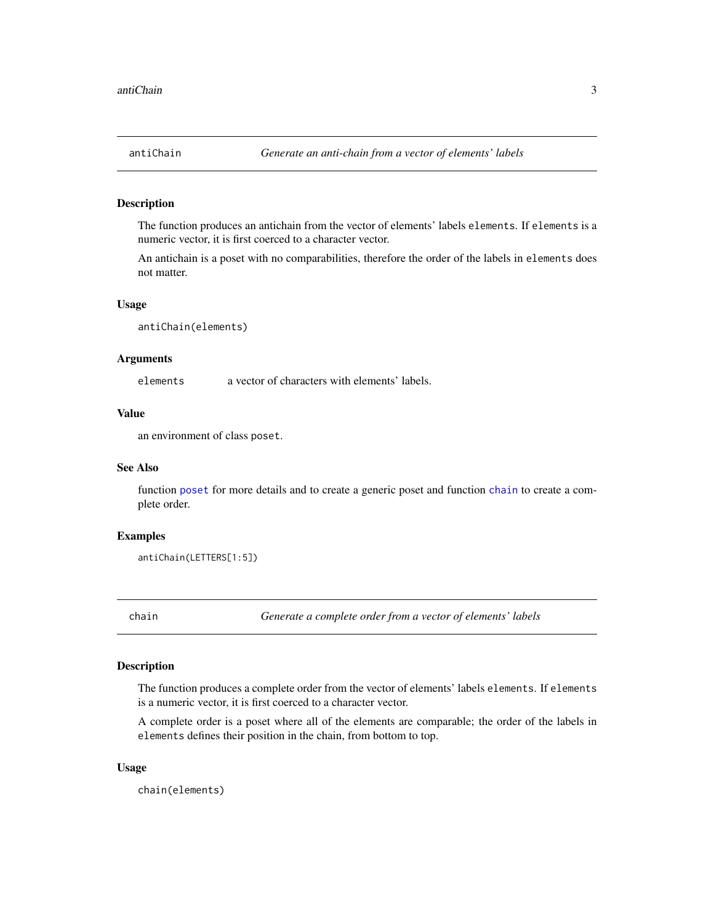#### <span id="page-2-2"></span><span id="page-2-0"></span>Description

The function produces an antichain from the vector of elements' labels elements. If elements is a numeric vector, it is first coerced to a character vector.

An antichain is a poset with no comparabilities, therefore the order of the labels in elements does not matter.

#### Usage

antiChain(elements)

#### Arguments

elements a vector of characters with elements' labels.

# Value

an environment of class poset.

# See Also

function [poset](#page-9-1) for more details and to create a generic poset and function [chain](#page-2-1) to create a complete order.

# Examples

antiChain(LETTERS[1:5])

<span id="page-2-1"></span>chain *Generate a complete order from a vector of elements' labels*

# Description

The function produces a complete order from the vector of elements' labels elements. If elements is a numeric vector, it is first coerced to a character vector.

A complete order is a poset where all of the elements are comparable; the order of the labels in elements defines their position in the chain, from bottom to top.

#### Usage

chain(elements)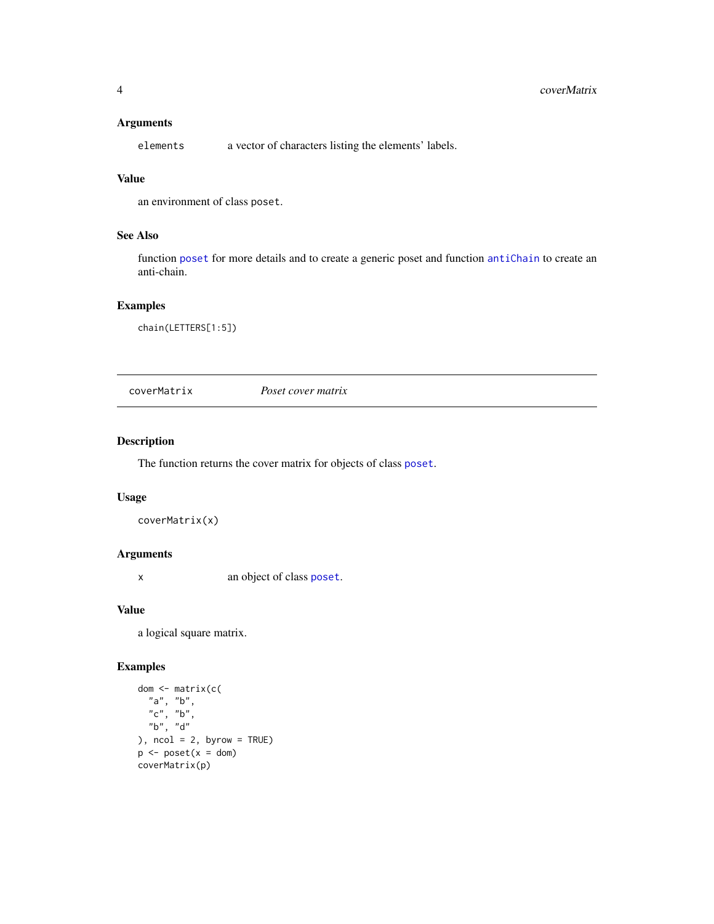# <span id="page-3-0"></span>4 coverMatrix

# Arguments

elements a vector of characters listing the elements' labels.

# Value

an environment of class poset.

# See Also

function [poset](#page-9-1) for more details and to create a generic poset and function [antiChain](#page-2-2) to create an anti-chain.

# Examples

chain(LETTERS[1:5])

coverMatrix *Poset cover matrix*

# Description

The function returns the cover matrix for objects of class [poset](#page-9-1).

# Usage

```
coverMatrix(x)
```
# Arguments

x an object of class [poset](#page-9-1).

# Value

a logical square matrix.

```
dom <- matrix(c(
  "a", "b",
  "c", "b",
  "b", "d"
), ncol = 2, byrow = TRUE)
p \leftarrow poset(x = dom)coverMatrix(p)
```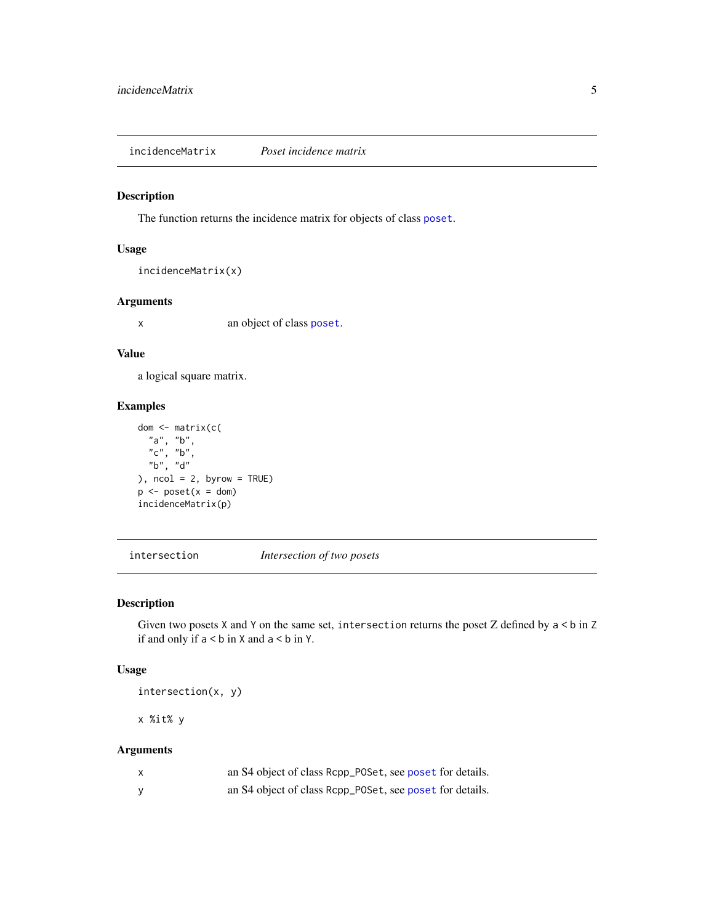<span id="page-4-0"></span>incidenceMatrix *Poset incidence matrix*

#### Description

The function returns the incidence matrix for objects of class [poset](#page-9-1).

# Usage

```
incidenceMatrix(x)
```
# Arguments

x an object of class [poset](#page-9-1).

# Value

a logical square matrix.

#### Examples

```
dom <- matrix(c(
  "a", "b",
  "c", "b",
  "b", "d"
), ncol = 2, byrow = TRUE)
p \leftarrow poset(x = dom)incidenceMatrix(p)
```
intersection *Intersection of two posets*

#### Description

Given two posets  $X$  and  $Y$  on the same set, intersection returns the poset  $Z$  defined by  $a < b$  in  $Z$ if and only if  $a < b$  in X and  $a < b$  in Y.

# Usage

intersection(x, y)

x %it% y

| X | an S4 object of class Rcpp_POSet, see poset for details. |
|---|----------------------------------------------------------|
| y | an S4 object of class Rcpp_POSet, see poset for details. |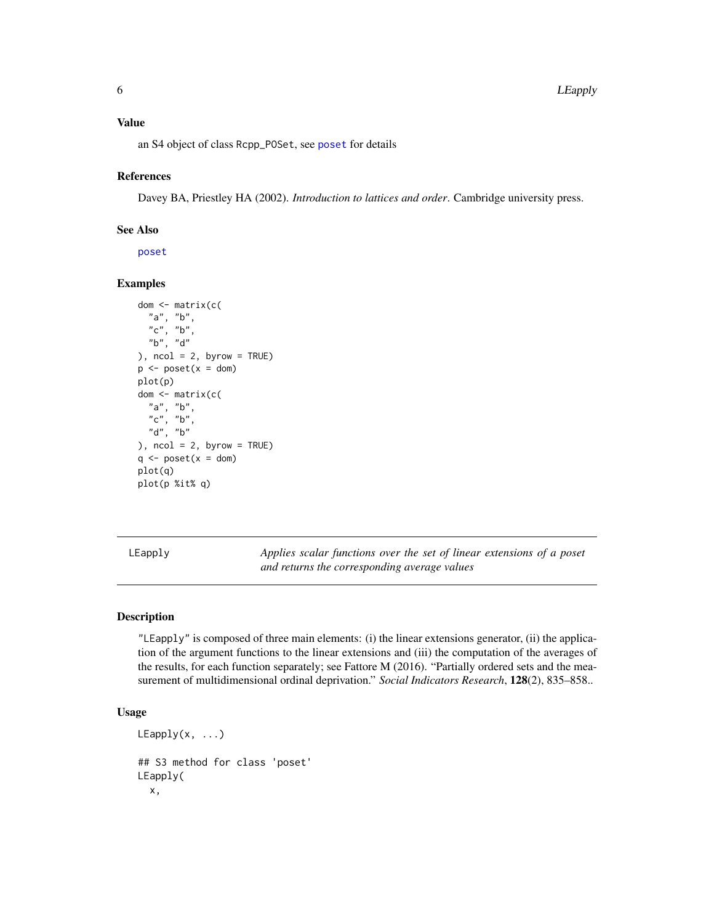# <span id="page-5-0"></span>Value

an S4 object of class Rcpp\_POSet, see [poset](#page-9-1) for details

#### References

Davey BA, Priestley HA (2002). *Introduction to lattices and order*. Cambridge university press.

# See Also

[poset](#page-9-1)

# Examples

```
dom <- matrix(c(
  "a", "b",
  "c", "b","b", "d"
), ncol = 2, byrow = TRUE)
p \le -\text{poset}(x = \text{dom})plot(p)
dom <- matrix(c(
  "a", "b",
  "c", "b",
  "d", "b"
), ncol = 2, byrow = TRUE)
q \leq - poset(x =dom)
plot(q)
plot(p %it% q)
```
LEapply *Applies scalar functions over the set of linear extensions of a poset and returns the corresponding average values*

# Description

"LEapply" is composed of three main elements: (i) the linear extensions generator, (ii) the application of the argument functions to the linear extensions and (iii) the computation of the averages of the results, for each function separately; see Fattore M (2016). "Partially ordered sets and the measurement of multidimensional ordinal deprivation." *Social Indicators Research*, 128(2), 835–858..

# Usage

```
LEapply(x, \ldots)## S3 method for class 'poset'
LEapply(
  x,
```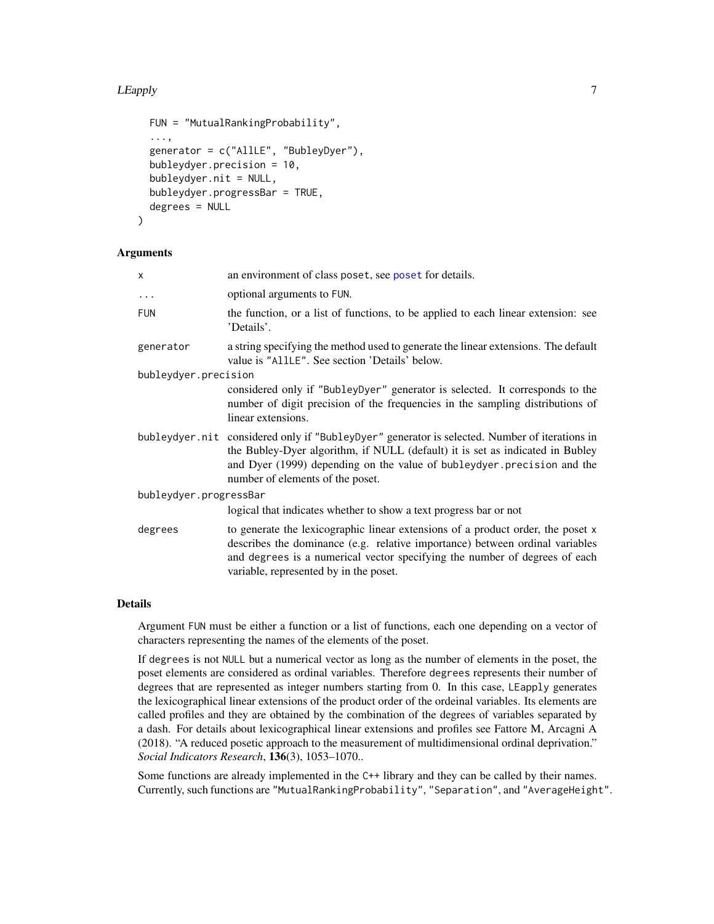#### LEapply 7

```
FUN = "MutualRankingProbability",
  ...,
  generator = c("AllLE", "BubleyDyer"),
  bubleydyer.precision = 10,
  bubleydyer.nit = NULL,
  bubleydyer.progressBar = TRUE,
  degrees = NULL
\lambda
```
#### Arguments

| x                      | an environment of class poset, see poset for details.                                                                                                                                                                                                                                         |
|------------------------|-----------------------------------------------------------------------------------------------------------------------------------------------------------------------------------------------------------------------------------------------------------------------------------------------|
| $\ddots$               | optional arguments to FUN.                                                                                                                                                                                                                                                                    |
| <b>FUN</b>             | the function, or a list of functions, to be applied to each linear extension: see<br>'Details'.                                                                                                                                                                                               |
| generator              | a string specifying the method used to generate the linear extensions. The default<br>value is "AllLE". See section 'Details' below.                                                                                                                                                          |
| bubleydyer.precision   |                                                                                                                                                                                                                                                                                               |
|                        | considered only if "BubleyDyer" generator is selected. It corresponds to the<br>number of digit precision of the frequencies in the sampling distributions of<br>linear extensions.                                                                                                           |
|                        | bubleydyer.nit considered only if "BubleyDyer" generator is selected. Number of iterations in<br>the Bubley-Dyer algorithm, if NULL (default) it is set as indicated in Bubley<br>and Dyer (1999) depending on the value of bubleydyer. precision and the<br>number of elements of the poset. |
| bubleydyer.progressBar |                                                                                                                                                                                                                                                                                               |
|                        | logical that indicates whether to show a text progress bar or not                                                                                                                                                                                                                             |
| degrees                | to generate the lexicographic linear extensions of a product order, the poset x<br>describes the dominance (e.g. relative importance) between ordinal variables<br>and degrees is a numerical vector specifying the number of degrees of each<br>variable, represented by in the poset.       |

# Details

Argument FUN must be either a function or a list of functions, each one depending on a vector of characters representing the names of the elements of the poset.

If degrees is not NULL but a numerical vector as long as the number of elements in the poset, the poset elements are considered as ordinal variables. Therefore degrees represents their number of degrees that are represented as integer numbers starting from 0. In this case, LEapply generates the lexicographical linear extensions of the product order of the ordeinal variables. Its elements are called profiles and they are obtained by the combination of the degrees of variables separated by a dash. For details about lexicographical linear extensions and profiles see Fattore M, Arcagni A (2018). "A reduced posetic approach to the measurement of multidimensional ordinal deprivation." *Social Indicators Research*, 136(3), 1053–1070..

Some functions are already implemented in the C++ library and they can be called by their names. Currently, such functions are "MutualRankingProbability", "Separation", and "AverageHeight".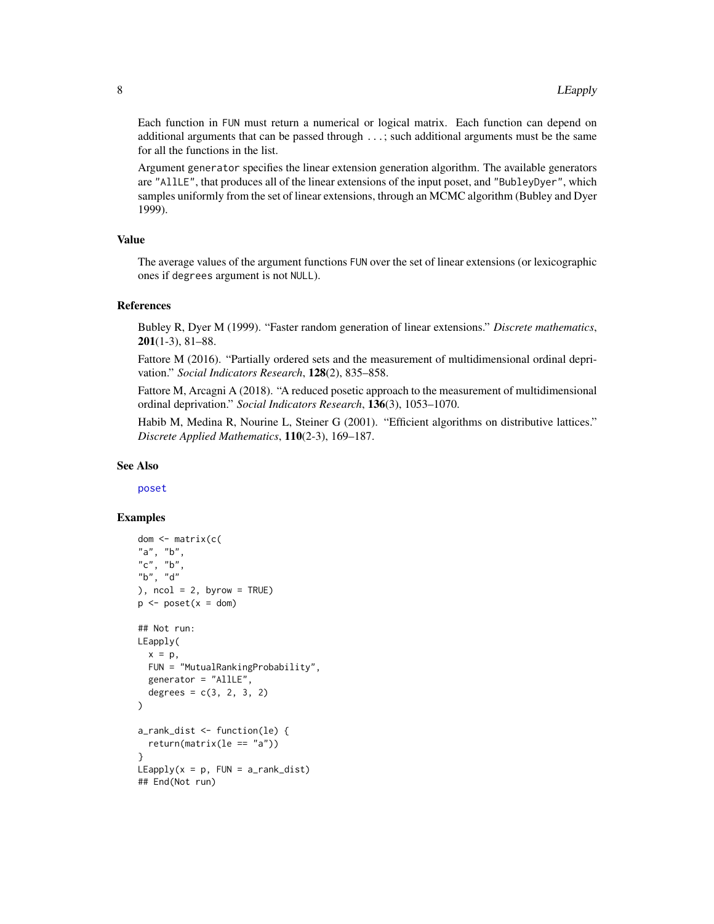Each function in FUN must return a numerical or logical matrix. Each function can depend on additional arguments that can be passed through ...; such additional arguments must be the same for all the functions in the list.

Argument generator specifies the linear extension generation algorithm. The available generators are "AllLE", that produces all of the linear extensions of the input poset, and "BubleyDyer", which samples uniformly from the set of linear extensions, through an MCMC algorithm (Bubley and Dyer 1999).

#### Value

The average values of the argument functions FUN over the set of linear extensions (or lexicographic ones if degrees argument is not NULL).

#### References

Bubley R, Dyer M (1999). "Faster random generation of linear extensions." *Discrete mathematics*,  $201(1-3)$ , 81–88.

Fattore M (2016). "Partially ordered sets and the measurement of multidimensional ordinal deprivation." *Social Indicators Research*, 128(2), 835–858.

Fattore M, Arcagni A (2018). "A reduced posetic approach to the measurement of multidimensional ordinal deprivation." *Social Indicators Research*, 136(3), 1053–1070.

Habib M, Medina R, Nourine L, Steiner G (2001). "Efficient algorithms on distributive lattices." *Discrete Applied Mathematics*, 110(2-3), 169–187.

#### See Also

[poset](#page-9-1)

```
dom <- matrix(c(
"a", "b",
"c", "b",
"b", "d"
), ncol = 2, byrow = TRUE)
p \le -\text{poset}(x = \text{dom})## Not run:
LEapply(
  x = p,
  FUN = "MutualRankingProbability",
  generator = "AllLE",
  degrees = c(3, 2, 3, 2)\mathcal{L}a_rank_dist <- function(le) {
  return(matrix(le == "a"))
}
LEapply(x = p, FUN = a_rank\_dist)## End(Not run)
```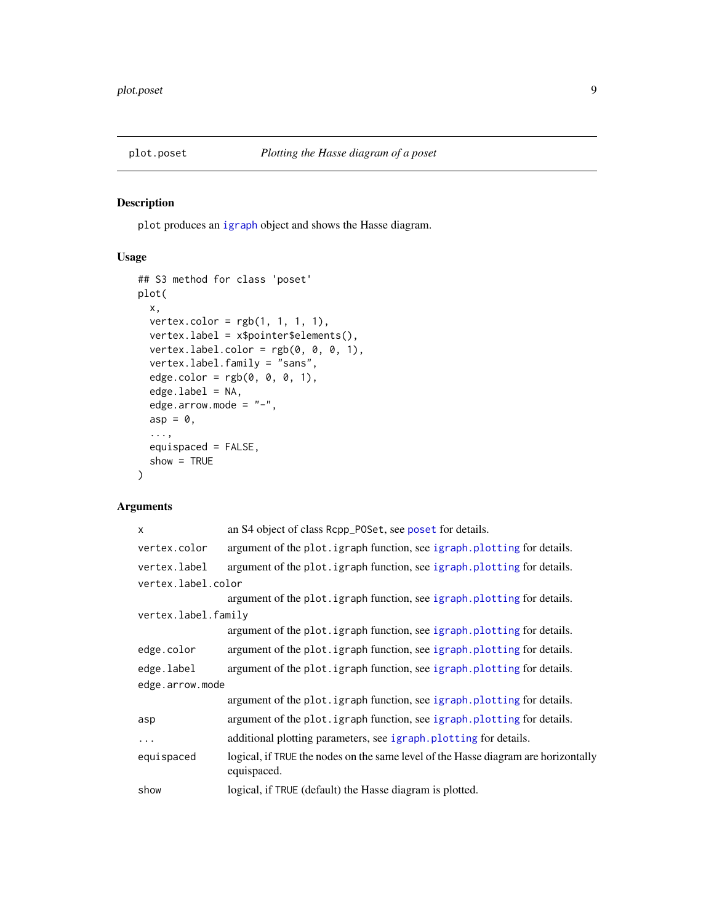<span id="page-8-0"></span>

# Description

plot produces an [igraph](#page-0-0) object and shows the Hasse diagram.

# Usage

```
## S3 method for class 'poset'
plot(
 x,
 vertex.color = rgb(1, 1, 1, 1),vertex.label = x$pointer$elements(),
 vertex.label.color = rgb(0, 0, 0, 1),
 vertex.label.family = "sans",
  edge.color = rgb(0, 0, 0, 1),edge.label = NA,
 edge.arrow.mode = "-",
 asp = 0,...,
 equispaced = FALSE,
  show = TRUE
)
```

| X                   | an S4 object of class Rcpp_POSet, see poset for details.                                          |
|---------------------|---------------------------------------------------------------------------------------------------|
| vertex.color        | argument of the plot. igraph function, see igraph. plotting for details.                          |
| vertex.label        | argument of the plot. igraph function, see igraph. plotting for details.                          |
| vertex.label.color  |                                                                                                   |
|                     | argument of the plot. igraph function, see igraph. plotting for details.                          |
| vertex.label.family |                                                                                                   |
|                     | argument of the plot. igraph function, see igraph. plotting for details.                          |
| edge.color          | argument of the plot. igraph function, see igraph. plotting for details.                          |
| edge.label          | argument of the plot. igraph function, see igraph. plotting for details.                          |
| edge.arrow.mode     |                                                                                                   |
|                     | argument of the plot. igraph function, see igraph. plotting for details.                          |
| asp                 | argument of the plot. igraph function, see igraph. plotting for details.                          |
| .                   | additional plotting parameters, see igraph. plotting for details.                                 |
| equispaced          | logical, if TRUE the nodes on the same level of the Hasse diagram are horizontally<br>equispaced. |
| show                | logical, if TRUE (default) the Hasse diagram is plotted.                                          |
|                     |                                                                                                   |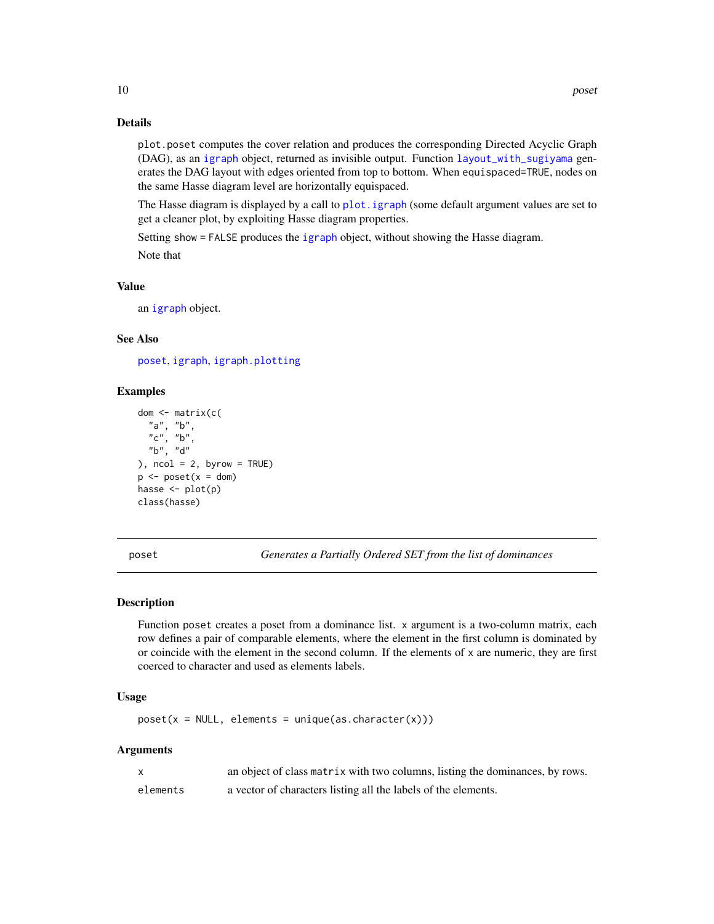# Details

plot.poset computes the cover relation and produces the corresponding Directed Acyclic Graph (DAG), as an [igraph](#page-0-0) object, returned as invisible output. Function [layout\\_with\\_sugiyama](#page-0-0) generates the DAG layout with edges oriented from top to bottom. When equispaced=TRUE, nodes on the same Hasse diagram level are horizontally equispaced.

The Hasse diagram is displayed by a call to [plot.igraph](#page-0-0) (some default argument values are set to get a cleaner plot, by exploiting Hasse diagram properties.

Setting show = FALSE produces the [igraph](#page-0-0) object, without showing the Hasse diagram. Note that

#### Value

an [igraph](#page-0-0) object.

# See Also

[poset](#page-9-1), [igraph](#page-0-0), [igraph.plotting](#page-0-0)

# Examples

```
dom <- matrix(c(
  "a", "b",
  "c", "b",
  "b", "d"
), ncol = 2, byrow = TRUE)
p \leq - poset(x =dom)
hasse \leq plot(p)
class(hasse)
```
poset *Generates a Partially Ordered SET from the list of dominances*

#### Description

Function poset creates a poset from a dominance list. x argument is a two-column matrix, each row defines a pair of comparable elements, where the element in the first column is dominated by or coincide with the element in the second column. If the elements of x are numeric, they are first coerced to character and used as elements labels.

# Usage

 $poset(x = NULL, elements = unique(as.charAtacter(x)))$ 

|          | an object of class matrix with two columns, listing the dominances, by rows. |
|----------|------------------------------------------------------------------------------|
| elements | a vector of characters listing all the labels of the elements.               |

<span id="page-9-0"></span>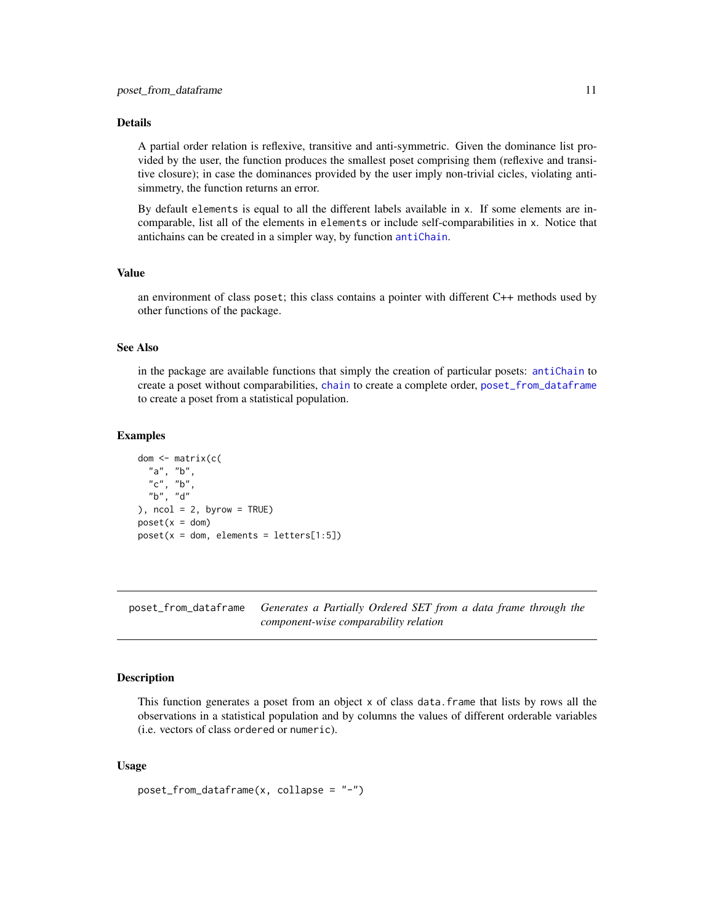#### <span id="page-10-0"></span>Details

A partial order relation is reflexive, transitive and anti-symmetric. Given the dominance list provided by the user, the function produces the smallest poset comprising them (reflexive and transitive closure); in case the dominances provided by the user imply non-trivial cicles, violating antisimmetry, the function returns an error.

By default elements is equal to all the different labels available in x. If some elements are incomparable, list all of the elements in elements or include self-comparabilities in x. Notice that antichains can be created in a simpler way, by function [antiChain](#page-2-2).

#### Value

an environment of class poset; this class contains a pointer with different C++ methods used by other functions of the package.

#### See Also

in the package are available functions that simply the creation of particular posets: [antiChain](#page-2-2) to create a poset without comparabilities, [chain](#page-2-1) to create a complete order, [poset\\_from\\_dataframe](#page-10-1) to create a poset from a statistical population.

#### Examples

```
dom <- matrix(c(
 "a", "b",
 "c", "b","b", "d"
), ncol = 2, byrow = TRUE)
poset(x = dom)poset(x = dom, elements = letters[1:5])
```
<span id="page-10-1"></span>poset\_from\_dataframe *Generates a Partially Ordered SET from a data frame through the component-wise comparability relation*

#### Description

This function generates a poset from an object x of class data.frame that lists by rows all the observations in a statistical population and by columns the values of different orderable variables (i.e. vectors of class ordered or numeric).

#### Usage

```
poset_from_dataframe(x, collapse = "-")
```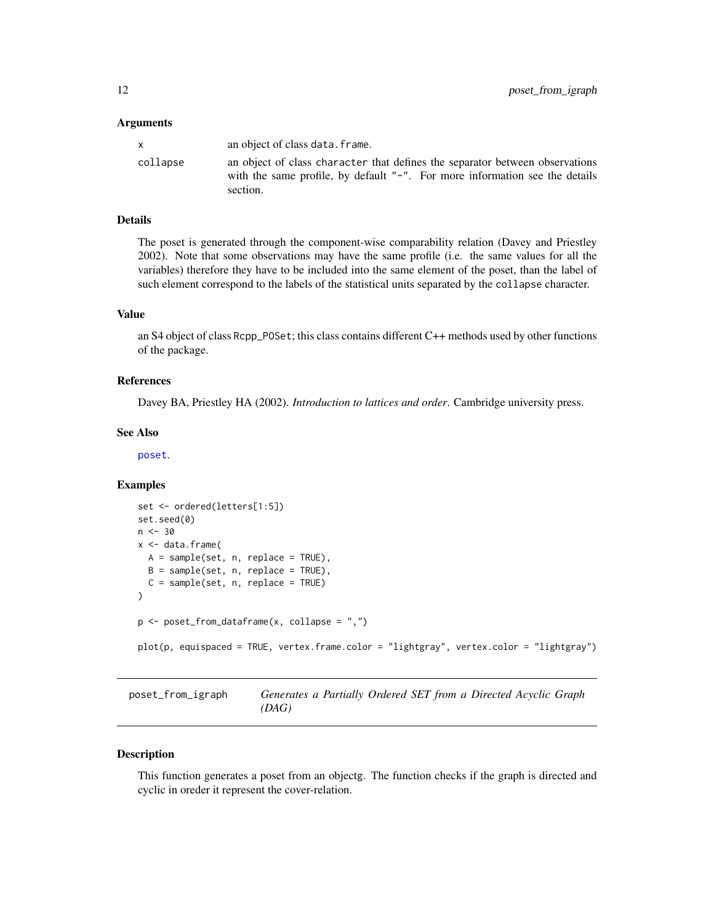#### <span id="page-11-0"></span>**Arguments**

| X        | an object of class data. frame.                                                                                                                                            |
|----------|----------------------------------------------------------------------------------------------------------------------------------------------------------------------------|
| collapse | an object of class character that defines the separator between observations<br>with the same profile, by default $"$ -". For more information see the details<br>section. |

# Details

The poset is generated through the component-wise comparability relation (Davey and Priestley 2002). Note that some observations may have the same profile (i.e. the same values for all the variables) therefore they have to be included into the same element of the poset, than the label of such element correspond to the labels of the statistical units separated by the collapse character.

# Value

an S4 object of class Rcpp\_POSet; this class contains different C++ methods used by other functions of the package.

# References

Davey BA, Priestley HA (2002). *Introduction to lattices and order*. Cambridge university press.

# See Also

[poset](#page-9-1).

#### Examples

```
set <- ordered(letters[1:5])
set.seed(0)
n < -30x <- data.frame(
 A = sample(set, n, replace = TRUE),B = sample(set, n, replace = TRUE),C = sample(set, n, replace = TRUE)
\lambdap <- poset_from_dataframe(x, collapse = ",")
plot(p, equispaced = TRUE, vertex.frame.color = "lightgray", vertex.color = "lightgray")
```
poset\_from\_igraph *Generates a Partially Ordered SET from a Directed Acyclic Graph (DAG)*

#### Description

This function generates a poset from an objectg. The function checks if the graph is directed and cyclic in oreder it represent the cover-relation.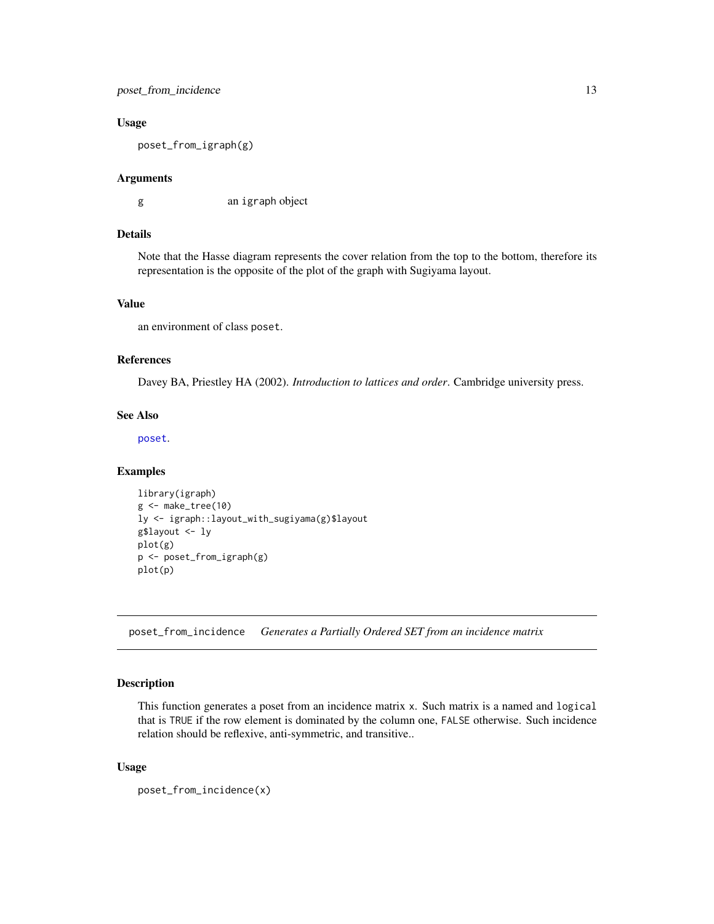# <span id="page-12-0"></span>poset\_from\_incidence 13

#### Usage

poset\_from\_igraph(g)

#### Arguments

g an igraph object

#### Details

Note that the Hasse diagram represents the cover relation from the top to the bottom, therefore its representation is the opposite of the plot of the graph with Sugiyama layout.

# Value

an environment of class poset.

# References

Davey BA, Priestley HA (2002). *Introduction to lattices and order*. Cambridge university press.

#### See Also

[poset](#page-9-1).

#### Examples

```
library(igraph)
g <- make_tree(10)
ly <- igraph::layout_with_sugiyama(g)$layout
g$layout <- ly
plot(g)
p <- poset_from_igraph(g)
plot(p)
```
poset\_from\_incidence *Generates a Partially Ordered SET from an incidence matrix*

#### Description

This function generates a poset from an incidence matrix x. Such matrix is a named and logical that is TRUE if the row element is dominated by the column one, FALSE otherwise. Such incidence relation should be reflexive, anti-symmetric, and transitive..

#### Usage

poset\_from\_incidence(x)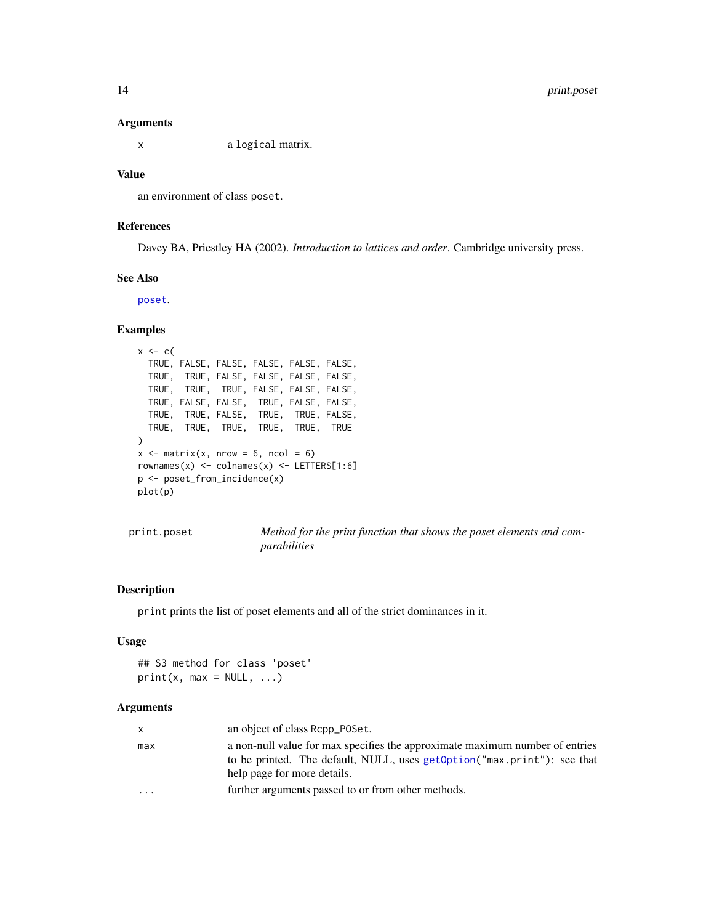#### Arguments

x a logical matrix.

#### Value

an environment of class poset.

# References

Davey BA, Priestley HA (2002). *Introduction to lattices and order*. Cambridge university press.

# See Also

[poset](#page-9-1).

# Examples

```
x \leftarrow cTRUE, FALSE, FALSE, FALSE, FALSE, FALSE,
  TRUE, TRUE, FALSE, FALSE, FALSE, FALSE,
  TRUE, TRUE, TRUE, FALSE, FALSE, FALSE,
  TRUE, FALSE, FALSE, TRUE, FALSE, FALSE,
  TRUE, TRUE, FALSE, TRUE, TRUE, FALSE,
  TRUE, TRUE, TRUE, TRUE, TRUE, TRUE
)
x \le matrix(x, nrow = 6, ncol = 6)
rownames(x) \le colnames(x) \le - LETTERS[1:6]
p <- poset_from_incidence(x)
plot(p)
```
print.poset *Method for the print function that shows the poset elements and comparabilities*

# Description

print prints the list of poset elements and all of the strict dominances in it.

# Usage

```
## S3 method for class 'poset'
print(x, max = NULL, ...)
```

| X       | an object of class Repp_POSet.                                                                                                                                                         |
|---------|----------------------------------------------------------------------------------------------------------------------------------------------------------------------------------------|
| max     | a non-null value for max specifies the approximate maximum number of entries<br>to be printed. The default, NULL, uses getOption("max.print"): see that<br>help page for more details. |
| $\cdot$ | further arguments passed to or from other methods.                                                                                                                                     |

<span id="page-13-0"></span>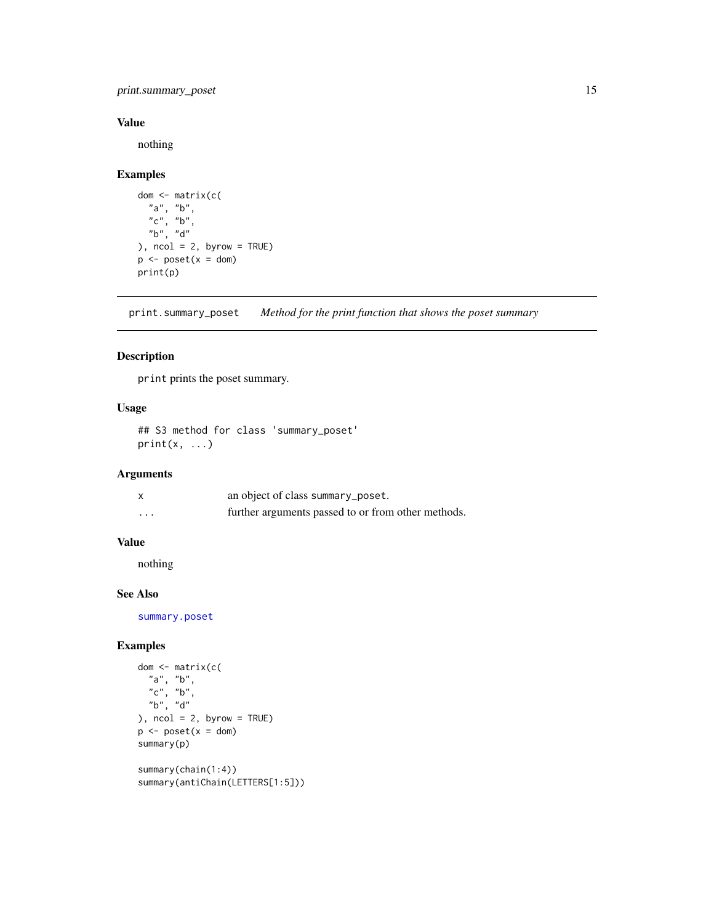<span id="page-14-0"></span>print.summary\_poset 15

# Value

nothing

# Examples

```
dom <- matrix(c(
  "a", "b",
  "c", "b",
  "b", "d"
), ncol = 2, byrow = TRUE)
p \leftarrow poset(x = dom)print(p)
```
print.summary\_poset *Method for the print function that shows the poset summary*

# Description

print prints the poset summary.

# Usage

## S3 method for class 'summary\_poset'  $print(x, \ldots)$ 

# Arguments

|          | an object of class summary_poset.                  |
|----------|----------------------------------------------------|
| $\cdots$ | further arguments passed to or from other methods. |

# Value

nothing

# See Also

[summary.poset](#page-16-1)

```
dom <- matrix(c(
  "a", "b",
  "c", "b",
  "b", "d"), ncol = 2, byrow = TRUE)
p \leftarrow poset(x = dom)summary(p)
summary(chain(1:4))
summary(antiChain(LETTERS[1:5]))
```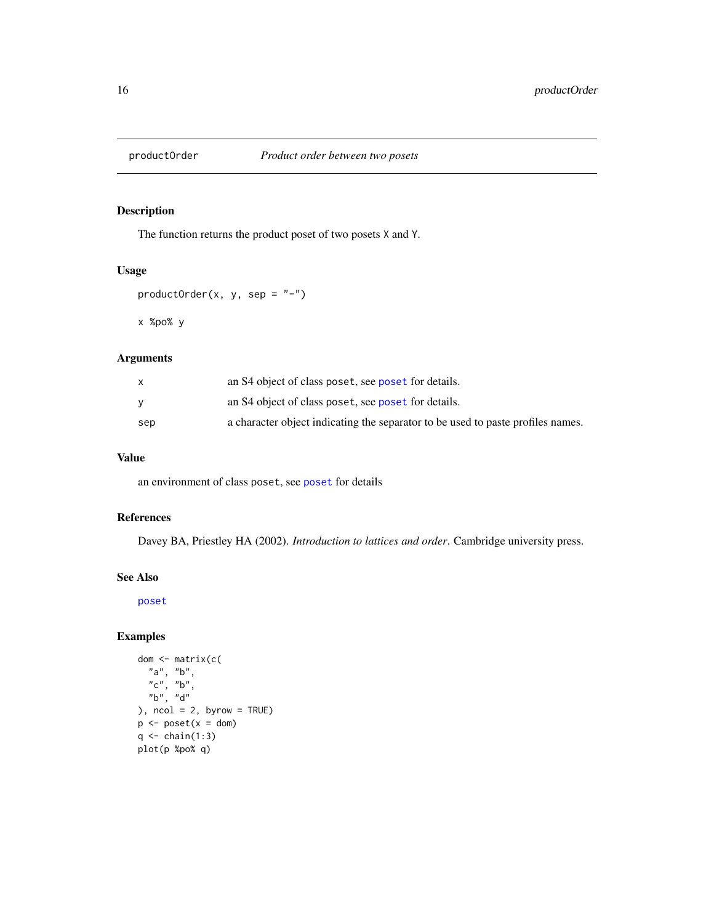<span id="page-15-0"></span>

# Description

The function returns the product poset of two posets X and Y.

#### Usage

```
productOrder(x, y, sep = " -")
```
x %po% y

# Arguments

|     | an S4 object of class poset, see poset for details.                             |
|-----|---------------------------------------------------------------------------------|
|     | an S4 object of class poset, see poset for details.                             |
| sep | a character object indicating the separator to be used to paste profiles names. |

# Value

an environment of class poset, see [poset](#page-9-1) for details

# References

Davey BA, Priestley HA (2002). *Introduction to lattices and order*. Cambridge university press.

# See Also

[poset](#page-9-1)

```
dom <- matrix(c(
  "a", "b",
   "c", "b",
   "b", "d"
), ncol = 2, byrow = TRUE)
p \le -\text{poset}(x = \text{dom})q \leftarrow \text{chain}(1:3)plot(p %po% q)
```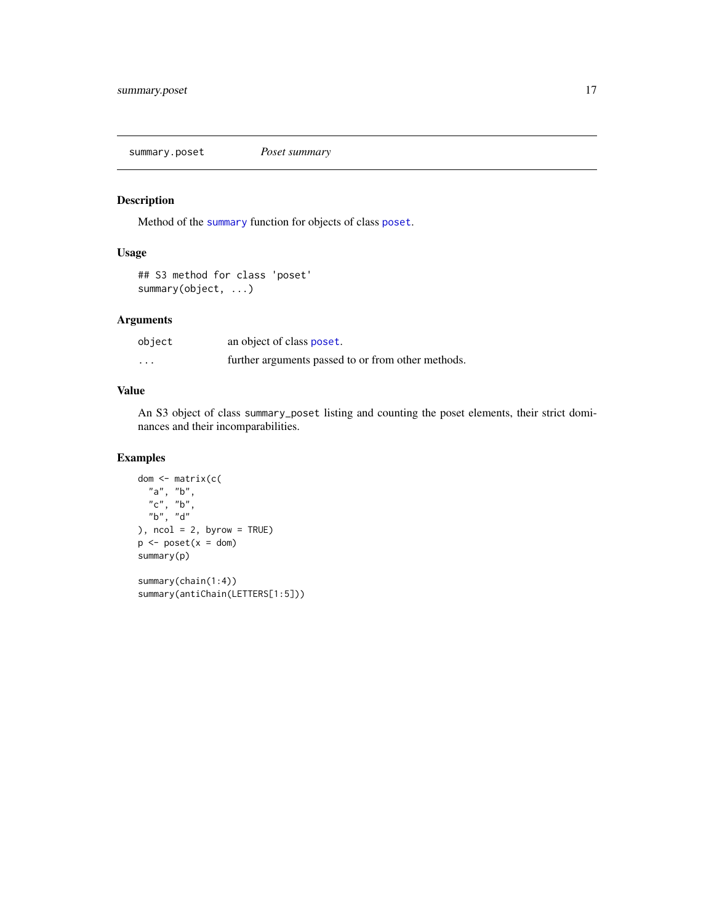<span id="page-16-1"></span><span id="page-16-0"></span>summary.poset *Poset summary*

# Description

Method of the [summary](#page-0-0) function for objects of class [poset](#page-9-1).

# Usage

```
## S3 method for class 'poset'
summary(object, ...)
```
# Arguments

| object   | an object of class poset.                          |
|----------|----------------------------------------------------|
| $\cdots$ | further arguments passed to or from other methods. |

# Value

An S3 object of class summary\_poset listing and counting the poset elements, their strict dominances and their incomparabilities.

# Examples

```
dom <- matrix(c(
  "a", "b",
  "c", "b",
  "b", "d"
), ncol = 2, byrow = TRUE)
p \leftarrow poset(x = dom)summary(p)
summary(chain(1:4))
```
summary(antiChain(LETTERS[1:5]))